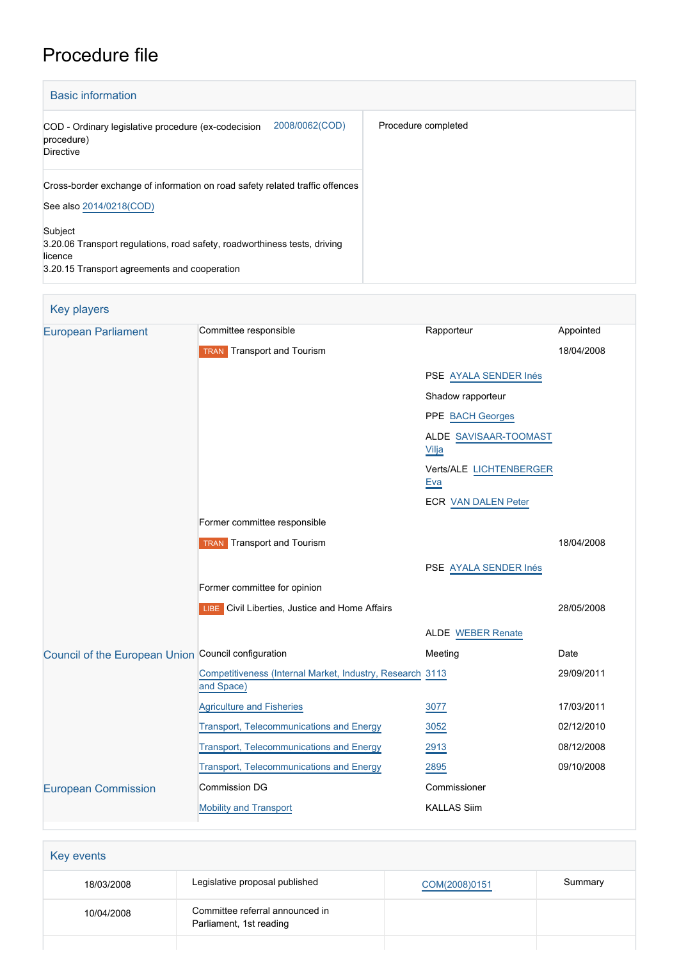# Procedure file

| <b>Basic information</b>                                                                                                                        |                     |
|-------------------------------------------------------------------------------------------------------------------------------------------------|---------------------|
| 2008/0062(COD)<br>COD - Ordinary legislative procedure (ex-codecision<br>procedure)<br>Directive                                                | Procedure completed |
| Cross-border exchange of information on road safety related traffic offences<br>See also 2014/0218(COD)                                         |                     |
| Subject<br>3.20.06 Transport regulations, road safety, roadworthiness tests, driving<br>licence<br>3.20.15 Transport agreements and cooperation |                     |

# Key players

| <b>European Parliament</b>                          | Committee responsible                                                   | Rapporteur                            | Appointed  |
|-----------------------------------------------------|-------------------------------------------------------------------------|---------------------------------------|------------|
|                                                     | <b>TRAN</b> Transport and Tourism                                       |                                       | 18/04/2008 |
|                                                     |                                                                         | PSE AYALA SENDER Inés                 |            |
|                                                     |                                                                         | Shadow rapporteur                     |            |
|                                                     |                                                                         | PPE BACH Georges                      |            |
|                                                     |                                                                         | ALDE SAVISAAR-TOOMAST<br>Vilja        |            |
|                                                     |                                                                         | Verts/ALE LICHTENBERGER<br><u>Eva</u> |            |
|                                                     |                                                                         | <b>ECR VAN DALEN Peter</b>            |            |
|                                                     | Former committee responsible                                            |                                       |            |
|                                                     | <b>TRAN</b> Transport and Tourism                                       |                                       | 18/04/2008 |
|                                                     |                                                                         | PSE AYALA SENDER Inés                 |            |
|                                                     | Former committee for opinion                                            |                                       |            |
|                                                     | LIBE Civil Liberties, Justice and Home Affairs                          |                                       | 28/05/2008 |
|                                                     |                                                                         | <b>ALDE</b> WEBER Renate              |            |
| Council of the European Union Council configuration |                                                                         | Meeting                               | Date       |
|                                                     | Competitiveness (Internal Market, Industry, Research 3113<br>and Space) |                                       | 29/09/2011 |
|                                                     | <b>Agriculture and Fisheries</b>                                        | 3077                                  | 17/03/2011 |
|                                                     | <b>Transport, Telecommunications and Energy</b>                         | 3052                                  | 02/12/2010 |
|                                                     | <b>Transport, Telecommunications and Energy</b>                         | 2913                                  | 08/12/2008 |
|                                                     | Transport, Telecommunications and Energy                                | 2895                                  | 09/10/2008 |
| <b>European Commission</b>                          | <b>Commission DG</b>                                                    | Commissioner                          |            |
|                                                     | <b>Mobility and Transport</b>                                           | <b>KALLAS Siim</b>                    |            |

| Key events |                                                            |               |         |
|------------|------------------------------------------------------------|---------------|---------|
| 18/03/2008 | Legislative proposal published                             | COM(2008)0151 | Summary |
| 10/04/2008 | Committee referral announced in<br>Parliament, 1st reading |               |         |
|            |                                                            |               |         |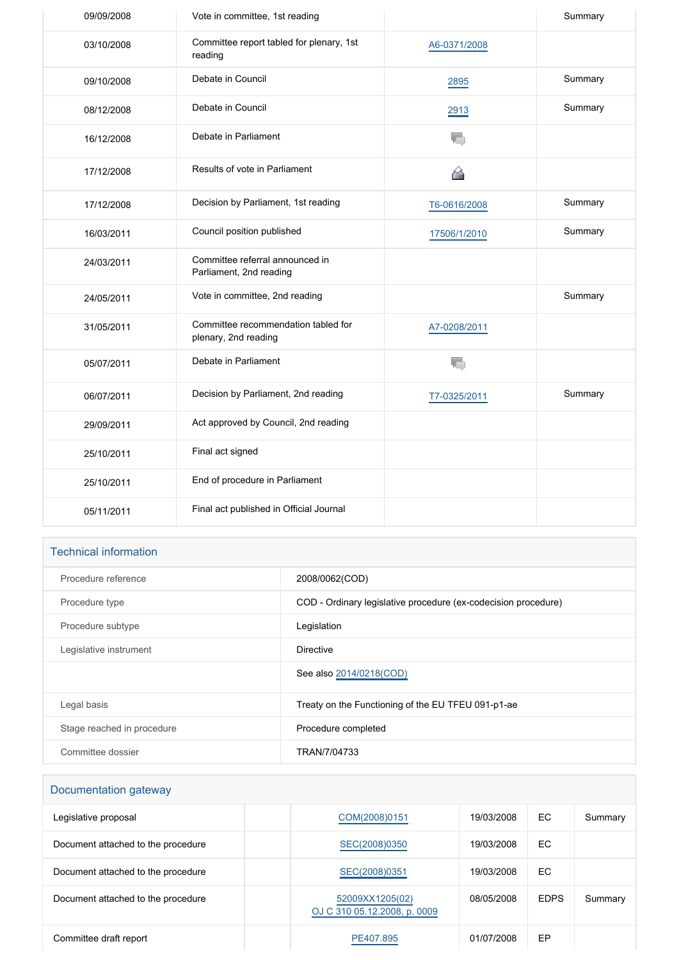| 09/09/2008 | Vote in committee, 1st reading                              |              | Summary |
|------------|-------------------------------------------------------------|--------------|---------|
| 03/10/2008 | Committee report tabled for plenary, 1st<br>reading         | A6-0371/2008 |         |
| 09/10/2008 | Debate in Council                                           | 2895         | Summary |
| 08/12/2008 | Debate in Council                                           | 2913         | Summary |
| 16/12/2008 | Debate in Parliament                                        | ₹.           |         |
| 17/12/2008 | Results of vote in Parliament                               | 谷            |         |
| 17/12/2008 | Decision by Parliament, 1st reading                         | T6-0616/2008 | Summary |
| 16/03/2011 | Council position published                                  | 17506/1/2010 | Summary |
| 24/03/2011 | Committee referral announced in<br>Parliament, 2nd reading  |              |         |
| 24/05/2011 | Vote in committee, 2nd reading                              |              | Summary |
| 31/05/2011 | Committee recommendation tabled for<br>plenary, 2nd reading | A7-0208/2011 |         |
| 05/07/2011 | Debate in Parliament                                        | T,           |         |
| 06/07/2011 | Decision by Parliament, 2nd reading                         | T7-0325/2011 | Summary |
| 29/09/2011 | Act approved by Council, 2nd reading                        |              |         |
| 25/10/2011 | Final act signed                                            |              |         |
| 25/10/2011 | End of procedure in Parliament                              |              |         |
| 05/11/2011 | Final act published in Official Journal                     |              |         |

# Technical information

| Procedure reference        | 2008/0062(COD)                                                 |
|----------------------------|----------------------------------------------------------------|
| Procedure type             | COD - Ordinary legislative procedure (ex-codecision procedure) |
| Procedure subtype          | Legislation                                                    |
| Legislative instrument     | <b>Directive</b>                                               |
|                            | See also 2014/0218(COD)                                        |
| Legal basis                | Treaty on the Functioning of the EU TFEU 091-p1-ae             |
| Stage reached in procedure | Procedure completed                                            |
| Committee dossier          | TRAN/7/04733                                                   |

# Documentation gateway

| Legislative proposal               | COM(2008)0151                                   | 19/03/2008 | EC.         | Summary |
|------------------------------------|-------------------------------------------------|------------|-------------|---------|
| Document attached to the procedure | SEC(2008)0350                                   | 19/03/2008 | EC.         |         |
| Document attached to the procedure | SEC(2008)0351                                   | 19/03/2008 | EC.         |         |
| Document attached to the procedure | 52009XX1205(02)<br>OJ C 310 05.12.2008, p. 0009 | 08/05/2008 | <b>EDPS</b> | Summary |
| Committee draft report             | PE407.895                                       | 01/07/2008 | EP          |         |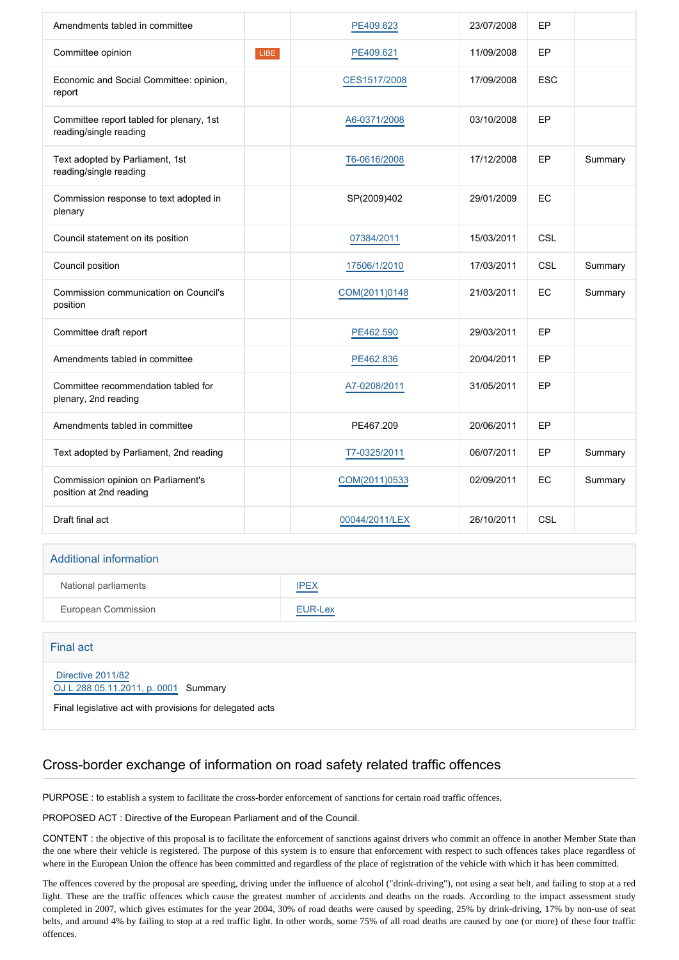| Amendments tabled in committee                                     |      | PE409.623      | 23/07/2008 | EP         |         |
|--------------------------------------------------------------------|------|----------------|------------|------------|---------|
| Committee opinion                                                  | LIBE | PE409.621      | 11/09/2008 | EP         |         |
| Economic and Social Committee: opinion,<br>report                  |      | CES1517/2008   | 17/09/2008 | <b>ESC</b> |         |
| Committee report tabled for plenary, 1st<br>reading/single reading |      | A6-0371/2008   | 03/10/2008 | EP         |         |
| Text adopted by Parliament, 1st<br>reading/single reading          |      | T6-0616/2008   | 17/12/2008 | EP         | Summary |
| Commission response to text adopted in<br>plenary                  |      | SP(2009)402    | 29/01/2009 | EC         |         |
| Council statement on its position                                  |      | 07384/2011     | 15/03/2011 | <b>CSL</b> |         |
| Council position                                                   |      | 17506/1/2010   | 17/03/2011 | <b>CSL</b> | Summary |
| Commission communication on Council's<br>position                  |      | COM(2011)0148  | 21/03/2011 | EC         | Summary |
| Committee draft report                                             |      | PE462.590      | 29/03/2011 | EP         |         |
| Amendments tabled in committee                                     |      | PE462.836      | 20/04/2011 | EP         |         |
| Committee recommendation tabled for<br>plenary, 2nd reading        |      | A7-0208/2011   | 31/05/2011 | EP         |         |
| Amendments tabled in committee                                     |      | PE467.209      | 20/06/2011 | EP         |         |
| Text adopted by Parliament, 2nd reading                            |      | T7-0325/2011   | 06/07/2011 | EP         | Summary |
| Commission opinion on Parliament's<br>position at 2nd reading      |      | COM(2011)0533  | 02/09/2011 | EC         | Summary |
| Draft final act                                                    |      | 00044/2011/LEX | 26/10/2011 | CSL        |         |
|                                                                    |      |                |            |            |         |
| <b>Additional information</b>                                      |      |                |            |            |         |

| National parliaments | <b>IPEX</b>                                             |
|----------------------|---------------------------------------------------------|
| European Commission  | <b>EUR-Lex</b><br>and the control of the control of the |

#### Final act

#### [Directive 2011/82](https://eur-lex.europa.eu/smartapi/cgi/sga_doc?smartapi!celexplus!prod!CELEXnumdoc&lg=EN&numdoc=32011L0082) [OJ L 288 05.11.2011, p. 0001](https://eur-lex.europa.eu/JOHtml.do?uri=OJ:L:2011:288:SOM:EN:HTML) Summary

Final legislative act with provisions for delegated acts

# Cross-border exchange of information on road safety related traffic offences

PURPOSE : to establish a system to facilitate the cross-border enforcement of sanctions for certain road traffic offences.

#### PROPOSED ACT : Directive of the European Parliament and of the Council.

CONTENT : the objective of this proposal is to facilitate the enforcement of sanctions against drivers who commit an offence in another Member State than the one where their vehicle is registered. The purpose of this system is to ensure that enforcement with respect to such offences takes place regardless of where in the European Union the offence has been committed and regardless of the place of registration of the vehicle with which it has been committed.

The offences covered by the proposal are speeding, driving under the influence of alcohol ("drink-driving"), not using a seat belt, and failing to stop at a red light. These are the traffic offences which cause the greatest number of accidents and deaths on the roads. According to the impact assessment study completed in 2007, which gives estimates for the year 2004, 30% of road deaths were caused by speeding, 25% by drink-driving, 17% by non-use of seat belts, and around 4% by failing to stop at a red traffic light. In other words, some 75% of all road deaths are caused by one (or more) of these four traffic offences.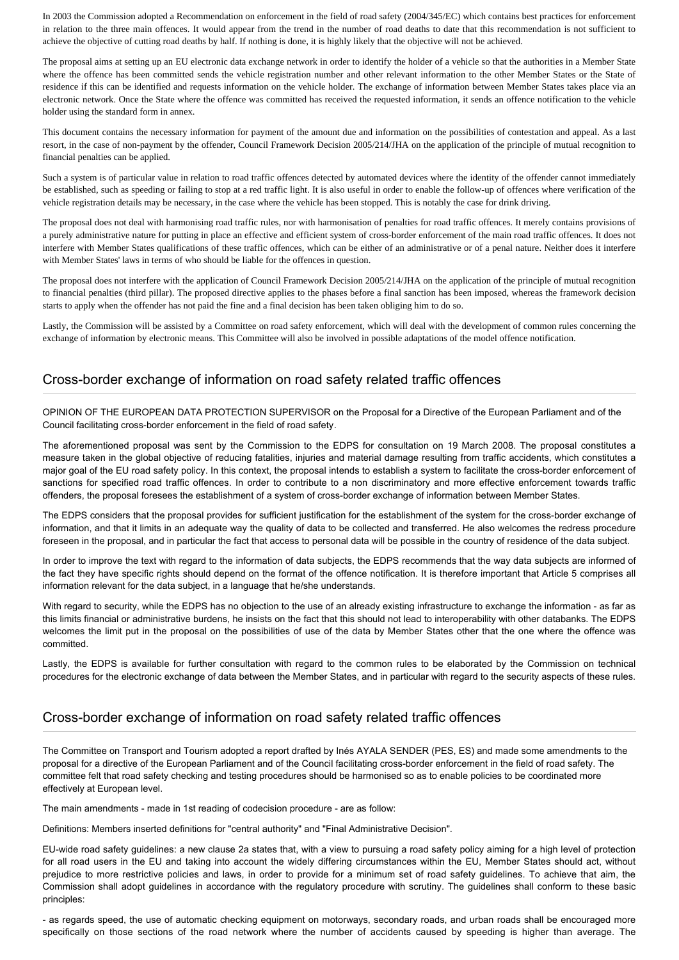In 2003 the Commission adopted a Recommendation on enforcement in the field of road safety (2004/345/EC) which contains best practices for enforcement in relation to the three main offences. It would appear from the trend in the number of road deaths to date that this recommendation is not sufficient to achieve the objective of cutting road deaths by half. If nothing is done, it is highly likely that the objective will not be achieved.

The proposal aims at setting up an EU electronic data exchange network in order to identify the holder of a vehicle so that the authorities in a Member State where the offence has been committed sends the vehicle registration number and other relevant information to the other Member States or the State of residence if this can be identified and requests information on the vehicle holder. The exchange of information between Member States takes place via an electronic network. Once the State where the offence was committed has received the requested information, it sends an offence notification to the vehicle holder using the standard form in annex.

This document contains the necessary information for payment of the amount due and information on the possibilities of contestation and appeal. As a last resort, in the case of non-payment by the offender, Council Framework Decision 2005/214/JHA on the application of the principle of mutual recognition to financial penalties can be applied.

Such a system is of particular value in relation to road traffic offences detected by automated devices where the identity of the offender cannot immediately be established, such as speeding or failing to stop at a red traffic light. It is also useful in order to enable the follow-up of offences where verification of the vehicle registration details may be necessary, in the case where the vehicle has been stopped. This is notably the case for drink driving.

The proposal does not deal with harmonising road traffic rules, nor with harmonisation of penalties for road traffic offences. It merely contains provisions of a purely administrative nature for putting in place an effective and efficient system of cross-border enforcement of the main road traffic offences. It does not interfere with Member States qualifications of these traffic offences, which can be either of an administrative or of a penal nature. Neither does it interfere with Member States' laws in terms of who should be liable for the offences in question.

The proposal does not interfere with the application of Council Framework Decision 2005/214/JHA on the application of the principle of mutual recognition to financial penalties (third pillar). The proposed directive applies to the phases before a final sanction has been imposed, whereas the framework decision starts to apply when the offender has not paid the fine and a final decision has been taken obliging him to do so.

Lastly, the Commission will be assisted by a Committee on road safety enforcement, which will deal with the development of common rules concerning the exchange of information by electronic means. This Committee will also be involved in possible adaptations of the model offence notification.

#### Cross-border exchange of information on road safety related traffic offences

OPINION OF THE EUROPEAN DATA PROTECTION SUPERVISOR on the Proposal for a Directive of the European Parliament and of the Council facilitating cross-border enforcement in the field of road safety.

The aforementioned proposal was sent by the Commission to the EDPS for consultation on 19 March 2008. The proposal constitutes a measure taken in the global objective of reducing fatalities, injuries and material damage resulting from traffic accidents, which constitutes a major goal of the EU road safety policy. In this context, the proposal intends to establish a system to facilitate the cross-border enforcement of sanctions for specified road traffic offences. In order to contribute to a non discriminatory and more effective enforcement towards traffic offenders, the proposal foresees the establishment of a system of cross-border exchange of information between Member States.

The EDPS considers that the proposal provides for sufficient justification for the establishment of the system for the cross-border exchange of information, and that it limits in an adequate way the quality of data to be collected and transferred. He also welcomes the redress procedure foreseen in the proposal, and in particular the fact that access to personal data will be possible in the country of residence of the data subject.

In order to improve the text with regard to the information of data subjects, the EDPS recommends that the way data subjects are informed of the fact they have specific rights should depend on the format of the offence notification. It is therefore important that Article 5 comprises all information relevant for the data subject, in a language that he/she understands.

With regard to security, while the EDPS has no objection to the use of an already existing infrastructure to exchange the information - as far as this limits financial or administrative burdens, he insists on the fact that this should not lead to interoperability with other databanks. The EDPS welcomes the limit put in the proposal on the possibilities of use of the data by Member States other that the one where the offence was committed.

Lastly, the EDPS is available for further consultation with regard to the common rules to be elaborated by the Commission on technical procedures for the electronic exchange of data between the Member States, and in particular with regard to the security aspects of these rules.

#### Cross-border exchange of information on road safety related traffic offences

The Committee on Transport and Tourism adopted a report drafted by Inés AYALA SENDER (PES, ES) and made some amendments to the proposal for a directive of the European Parliament and of the Council facilitating cross-border enforcement in the field of road safety. The committee felt that road safety checking and testing procedures should be harmonised so as to enable policies to be coordinated more effectively at European level.

The main amendments - made in 1st reading of codecision procedure - are as follow:

Definitions: Members inserted definitions for "central authority" and "Final Administrative Decision".

EU-wide road safety guidelines: a new clause 2a states that, with a view to pursuing a road safety policy aiming for a high level of protection for all road users in the EU and taking into account the widely differing circumstances within the EU, Member States should act, without prejudice to more restrictive policies and laws, in order to provide for a minimum set of road safety guidelines. To achieve that aim, the Commission shall adopt guidelines in accordance with the regulatory procedure with scrutiny. The guidelines shall conform to these basic principles:

- as regards speed, the use of automatic checking equipment on motorways, secondary roads, and urban roads shall be encouraged more specifically on those sections of the road network where the number of accidents caused by speeding is higher than average. The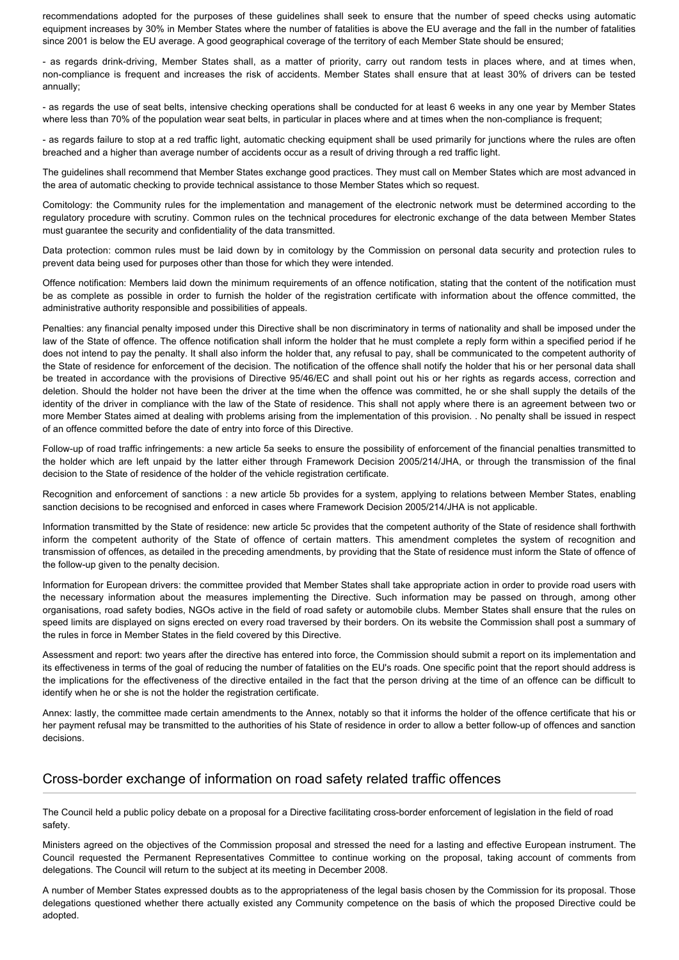recommendations adopted for the purposes of these guidelines shall seek to ensure that the number of speed checks using automatic equipment increases by 30% in Member States where the number of fatalities is above the EU average and the fall in the number of fatalities since 2001 is below the EU average. A good geographical coverage of the territory of each Member State should be ensured;

- as regards drink-driving, Member States shall, as a matter of priority, carry out random tests in places where, and at times when, non-compliance is frequent and increases the risk of accidents. Member States shall ensure that at least 30% of drivers can be tested annually;

- as regards the use of seat belts, intensive checking operations shall be conducted for at least 6 weeks in any one year by Member States where less than 70% of the population wear seat belts, in particular in places where and at times when the non-compliance is frequent;

- as regards failure to stop at a red traffic light, automatic checking equipment shall be used primarily for junctions where the rules are often breached and a higher than average number of accidents occur as a result of driving through a red traffic light.

The guidelines shall recommend that Member States exchange good practices. They must call on Member States which are most advanced in the area of automatic checking to provide technical assistance to those Member States which so request.

Comitology: the Community rules for the implementation and management of the electronic network must be determined according to the regulatory procedure with scrutiny. Common rules on the technical procedures for electronic exchange of the data between Member States must guarantee the security and confidentiality of the data transmitted.

Data protection: common rules must be laid down by in comitology by the Commission on personal data security and protection rules to prevent data being used for purposes other than those for which they were intended.

Offence notification: Members laid down the minimum requirements of an offence notification, stating that the content of the notification must be as complete as possible in order to furnish the holder of the registration certificate with information about the offence committed, the administrative authority responsible and possibilities of appeals.

Penalties: any financial penalty imposed under this Directive shall be non discriminatory in terms of nationality and shall be imposed under the law of the State of offence. The offence notification shall inform the holder that he must complete a reply form within a specified period if he does not intend to pay the penalty. It shall also inform the holder that, any refusal to pay, shall be communicated to the competent authority of the State of residence for enforcement of the decision. The notification of the offence shall notify the holder that his or her personal data shall be treated in accordance with the provisions of Directive 95/46/EC and shall point out his or her rights as regards access, correction and deletion. Should the holder not have been the driver at the time when the offence was committed, he or she shall supply the details of the identity of the driver in compliance with the law of the State of residence. This shall not apply where there is an agreement between two or more Member States aimed at dealing with problems arising from the implementation of this provision. . No penalty shall be issued in respect of an offence committed before the date of entry into force of this Directive.

Follow-up of road traffic infringements: a new article 5a seeks to ensure the possibility of enforcement of the financial penalties transmitted to the holder which are left unpaid by the latter either through Framework Decision 2005/214/JHA, or through the transmission of the final decision to the State of residence of the holder of the vehicle registration certificate.

Recognition and enforcement of sanctions : a new article 5b provides for a system, applying to relations between Member States, enabling sanction decisions to be recognised and enforced in cases where Framework Decision 2005/214/JHA is not applicable.

Information transmitted by the State of residence: new article 5c provides that the competent authority of the State of residence shall forthwith inform the competent authority of the State of offence of certain matters. This amendment completes the system of recognition and transmission of offences, as detailed in the preceding amendments, by providing that the State of residence must inform the State of offence of the follow-up given to the penalty decision.

Information for European drivers: the committee provided that Member States shall take appropriate action in order to provide road users with the necessary information about the measures implementing the Directive. Such information may be passed on through, among other organisations, road safety bodies, NGOs active in the field of road safety or automobile clubs. Member States shall ensure that the rules on speed limits are displayed on signs erected on every road traversed by their borders. On its website the Commission shall post a summary of the rules in force in Member States in the field covered by this Directive.

Assessment and report: two years after the directive has entered into force, the Commission should submit a report on its implementation and its effectiveness in terms of the goal of reducing the number of fatalities on the EU's roads. One specific point that the report should address is the implications for the effectiveness of the directive entailed in the fact that the person driving at the time of an offence can be difficult to identify when he or she is not the holder the registration certificate.

Annex: lastly, the committee made certain amendments to the Annex, notably so that it informs the holder of the offence certificate that his or her payment refusal may be transmitted to the authorities of his State of residence in order to allow a better follow-up of offences and sanction decisions.

#### Cross-border exchange of information on road safety related traffic offences

The Council held a public policy debate on a proposal for a Directive facilitating cross-border enforcement of legislation in the field of road safety.

Ministers agreed on the objectives of the Commission proposal and stressed the need for a lasting and effective European instrument. The Council requested the Permanent Representatives Committee to continue working on the proposal, taking account of comments from delegations. The Council will return to the subject at its meeting in December 2008.

A number of Member States expressed doubts as to the appropriateness of the legal basis chosen by the Commission for its proposal. Those delegations questioned whether there actually existed any Community competence on the basis of which the proposed Directive could be adopted.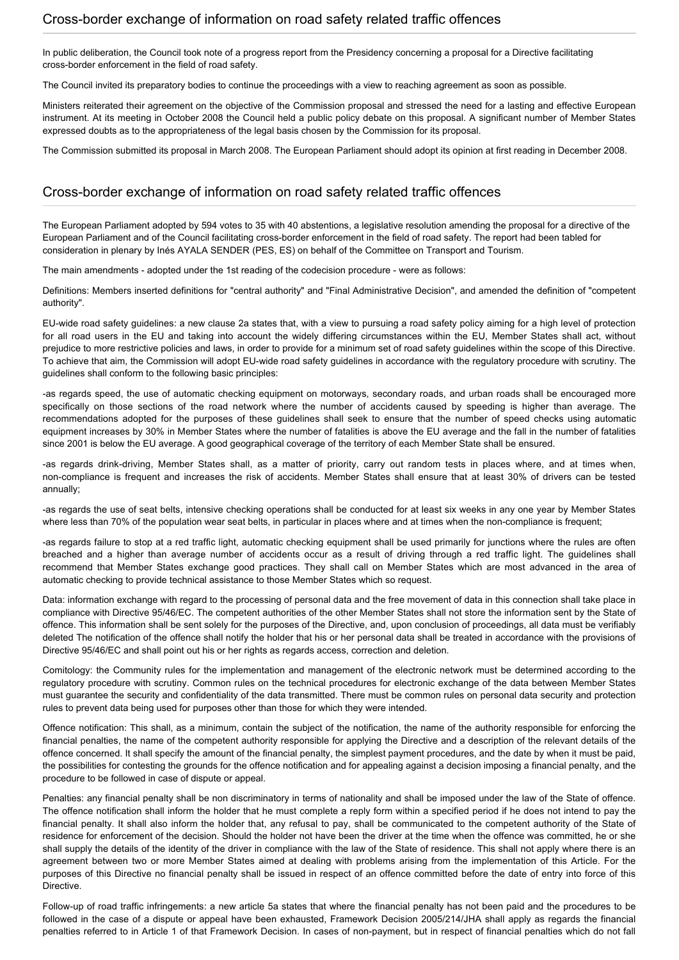#### Cross-border exchange of information on road safety related traffic offences

In public deliberation, the Council took note of a progress report from the Presidency concerning a proposal for a Directive facilitating cross-border enforcement in the field of road safety.

The Council invited its preparatory bodies to continue the proceedings with a view to reaching agreement as soon as possible.

Ministers reiterated their agreement on the objective of the Commission proposal and stressed the need for a lasting and effective European instrument. At its meeting in October 2008 the Council held a public policy debate on this proposal. A significant number of Member States expressed doubts as to the appropriateness of the legal basis chosen by the Commission for its proposal.

The Commission submitted its proposal in March 2008. The European Parliament should adopt its opinion at first reading in December 2008.

#### Cross-border exchange of information on road safety related traffic offences

The European Parliament adopted by 594 votes to 35 with 40 abstentions, a legislative resolution amending the proposal for a directive of the European Parliament and of the Council facilitating cross-border enforcement in the field of road safety. The report had been tabled for consideration in plenary by Inés AYALA SENDER (PES, ES) on behalf of the Committee on Transport and Tourism.

The main amendments - adopted under the 1st reading of the codecision procedure - were as follows:

Definitions: Members inserted definitions for "central authority" and "Final Administrative Decision", and amended the definition of "competent authority".

EU-wide road safety guidelines: a new clause 2a states that, with a view to pursuing a road safety policy aiming for a high level of protection for all road users in the EU and taking into account the widely differing circumstances within the EU, Member States shall act, without prejudice to more restrictive policies and laws, in order to provide for a minimum set of road safety guidelines within the scope of this Directive. To achieve that aim, the Commission will adopt EU-wide road safety guidelines in accordance with the regulatory procedure with scrutiny. The guidelines shall conform to the following basic principles:

-as regards speed, the use of automatic checking equipment on motorways, secondary roads, and urban roads shall be encouraged more specifically on those sections of the road network where the number of accidents caused by speeding is higher than average. The recommendations adopted for the purposes of these guidelines shall seek to ensure that the number of speed checks using automatic equipment increases by 30% in Member States where the number of fatalities is above the EU average and the fall in the number of fatalities since 2001 is below the EU average. A good geographical coverage of the territory of each Member State shall be ensured.

-as regards drink-driving, Member States shall, as a matter of priority, carry out random tests in places where, and at times when, non-compliance is frequent and increases the risk of accidents. Member States shall ensure that at least 30% of drivers can be tested annually;

-as regards the use of seat belts, intensive checking operations shall be conducted for at least six weeks in any one year by Member States where less than 70% of the population wear seat belts, in particular in places where and at times when the non-compliance is frequent:

-as regards failure to stop at a red traffic light, automatic checking equipment shall be used primarily for junctions where the rules are often breached and a higher than average number of accidents occur as a result of driving through a red traffic light. The guidelines shall recommend that Member States exchange good practices. They shall call on Member States which are most advanced in the area of automatic checking to provide technical assistance to those Member States which so request.

Data: information exchange with regard to the processing of personal data and the free movement of data in this connection shall take place in compliance with Directive 95/46/EC. The competent authorities of the other Member States shall not store the information sent by the State of offence. This information shall be sent solely for the purposes of the Directive, and, upon conclusion of proceedings, all data must be verifiably deleted The notification of the offence shall notify the holder that his or her personal data shall be treated in accordance with the provisions of Directive 95/46/EC and shall point out his or her rights as regards access, correction and deletion.

Comitology: the Community rules for the implementation and management of the electronic network must be determined according to the regulatory procedure with scrutiny. Common rules on the technical procedures for electronic exchange of the data between Member States must guarantee the security and confidentiality of the data transmitted. There must be common rules on personal data security and protection rules to prevent data being used for purposes other than those for which they were intended.

Offence notification: This shall, as a minimum, contain the subject of the notification, the name of the authority responsible for enforcing the financial penalties, the name of the competent authority responsible for applying the Directive and a description of the relevant details of the offence concerned. It shall specify the amount of the financial penalty, the simplest payment procedures, and the date by when it must be paid, the possibilities for contesting the grounds for the offence notification and for appealing against a decision imposing a financial penalty, and the procedure to be followed in case of dispute or appeal.

Penalties: any financial penalty shall be non discriminatory in terms of nationality and shall be imposed under the law of the State of offence. The offence notification shall inform the holder that he must complete a reply form within a specified period if he does not intend to pay the financial penalty. It shall also inform the holder that, any refusal to pay, shall be communicated to the competent authority of the State of residence for enforcement of the decision. Should the holder not have been the driver at the time when the offence was committed, he or she shall supply the details of the identity of the driver in compliance with the law of the State of residence. This shall not apply where there is an agreement between two or more Member States aimed at dealing with problems arising from the implementation of this Article. For the purposes of this Directive no financial penalty shall be issued in respect of an offence committed before the date of entry into force of this Directive.

Follow-up of road traffic infringements: a new article 5a states that where the financial penalty has not been paid and the procedures to be followed in the case of a dispute or appeal have been exhausted, Framework Decision 2005/214/JHA shall apply as regards the financial penalties referred to in Article 1 of that Framework Decision. In cases of non-payment, but in respect of financial penalties which do not fall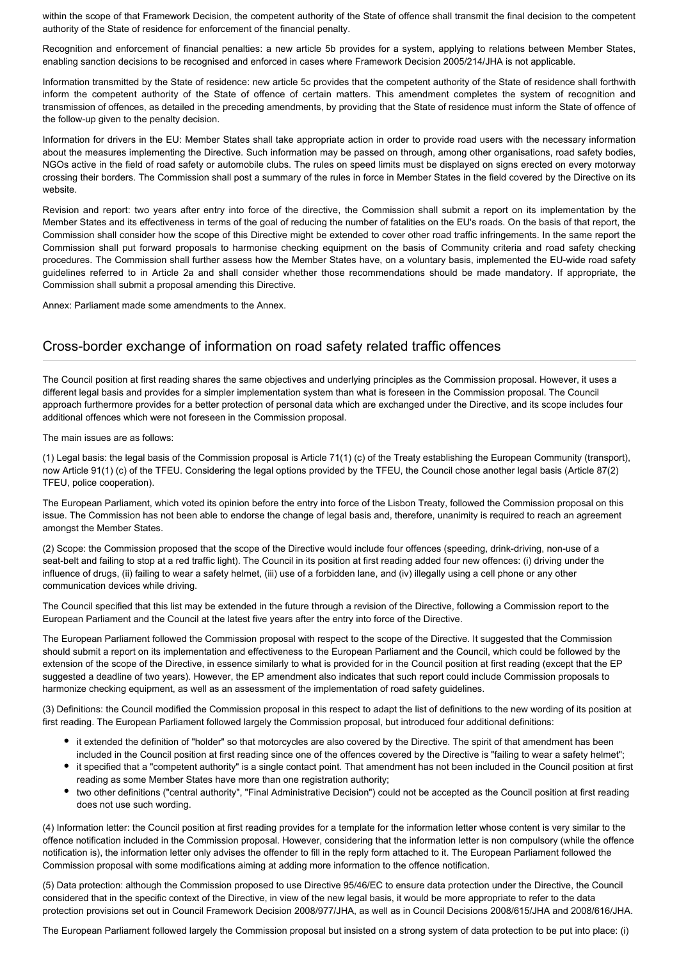within the scope of that Framework Decision, the competent authority of the State of offence shall transmit the final decision to the competent authority of the State of residence for enforcement of the financial penalty.

Recognition and enforcement of financial penalties: a new article 5b provides for a system, applying to relations between Member States, enabling sanction decisions to be recognised and enforced in cases where Framework Decision 2005/214/JHA is not applicable.

Information transmitted by the State of residence: new article 5c provides that the competent authority of the State of residence shall forthwith inform the competent authority of the State of offence of certain matters. This amendment completes the system of recognition and transmission of offences, as detailed in the preceding amendments, by providing that the State of residence must inform the State of offence of the follow-up given to the penalty decision.

Information for drivers in the EU: Member States shall take appropriate action in order to provide road users with the necessary information about the measures implementing the Directive. Such information may be passed on through, among other organisations, road safety bodies, NGOs active in the field of road safety or automobile clubs. The rules on speed limits must be displayed on signs erected on every motorway crossing their borders. The Commission shall post a summary of the rules in force in Member States in the field covered by the Directive on its website.

Revision and report: two years after entry into force of the directive, the Commission shall submit a report on its implementation by the Member States and its effectiveness in terms of the goal of reducing the number of fatalities on the EU's roads. On the basis of that report, the Commission shall consider how the scope of this Directive might be extended to cover other road traffic infringements. In the same report the Commission shall put forward proposals to harmonise checking equipment on the basis of Community criteria and road safety checking procedures. The Commission shall further assess how the Member States have, on a voluntary basis, implemented the EU-wide road safety guidelines referred to in Article 2a and shall consider whether those recommendations should be made mandatory. If appropriate, the Commission shall submit a proposal amending this Directive.

Annex: Parliament made some amendments to the Annex.

### Cross-border exchange of information on road safety related traffic offences

The Council position at first reading shares the same objectives and underlying principles as the Commission proposal. However, it uses a different legal basis and provides for a simpler implementation system than what is foreseen in the Commission proposal. The Council approach furthermore provides for a better protection of personal data which are exchanged under the Directive, and its scope includes four additional offences which were not foreseen in the Commission proposal.

The main issues are as follows:

(1) Legal basis: the legal basis of the Commission proposal is Article 71(1) (c) of the Treaty establishing the European Community (transport), now Article 91(1) (c) of the TFEU. Considering the legal options provided by the TFEU, the Council chose another legal basis (Article 87(2) TFEU, police cooperation).

The European Parliament, which voted its opinion before the entry into force of the Lisbon Treaty, followed the Commission proposal on this issue. The Commission has not been able to endorse the change of legal basis and, therefore, unanimity is required to reach an agreement amongst the Member States.

(2) Scope: the Commission proposed that the scope of the Directive would include four offences (speeding, drink-driving, non-use of a seat-belt and failing to stop at a red traffic light). The Council in its position at first reading added four new offences: (i) driving under the influence of drugs, (ii) failing to wear a safety helmet, (iii) use of a forbidden lane, and (iv) illegally using a cell phone or any other communication devices while driving.

The Council specified that this list may be extended in the future through a revision of the Directive, following a Commission report to the European Parliament and the Council at the latest five years after the entry into force of the Directive.

The European Parliament followed the Commission proposal with respect to the scope of the Directive. It suggested that the Commission should submit a report on its implementation and effectiveness to the European Parliament and the Council, which could be followed by the extension of the scope of the Directive, in essence similarly to what is provided for in the Council position at first reading (except that the EP suggested a deadline of two years). However, the EP amendment also indicates that such report could include Commission proposals to harmonize checking equipment, as well as an assessment of the implementation of road safety guidelines.

(3) Definitions: the Council modified the Commission proposal in this respect to adapt the list of definitions to the new wording of its position at first reading. The European Parliament followed largely the Commission proposal, but introduced four additional definitions:

- it extended the definition of "holder" so that motorcycles are also covered by the Directive. The spirit of that amendment has been included in the Council position at first reading since one of the offences covered by the Directive is "failing to wear a safety helmet";
- it specified that a "competent authority" is a single contact point. That amendment has not been included in the Council position at first reading as some Member States have more than one registration authority;
- two other definitions ("central authority", "Final Administrative Decision") could not be accepted as the Council position at first reading does not use such wording.

(4) Information letter: the Council position at first reading provides for a template for the information letter whose content is very similar to the offence notification included in the Commission proposal. However, considering that the information letter is non compulsory (while the offence notification is), the information letter only advises the offender to fill in the reply form attached to it. The European Parliament followed the Commission proposal with some modifications aiming at adding more information to the offence notification.

(5) Data protection: although the Commission proposed to use Directive 95/46/EC to ensure data protection under the Directive, the Council considered that in the specific context of the Directive, in view of the new legal basis, it would be more appropriate to refer to the data protection provisions set out in Council Framework Decision 2008/977/JHA, as well as in Council Decisions 2008/615/JHA and 2008/616/JHA.

The European Parliament followed largely the Commission proposal but insisted on a strong system of data protection to be put into place: (i)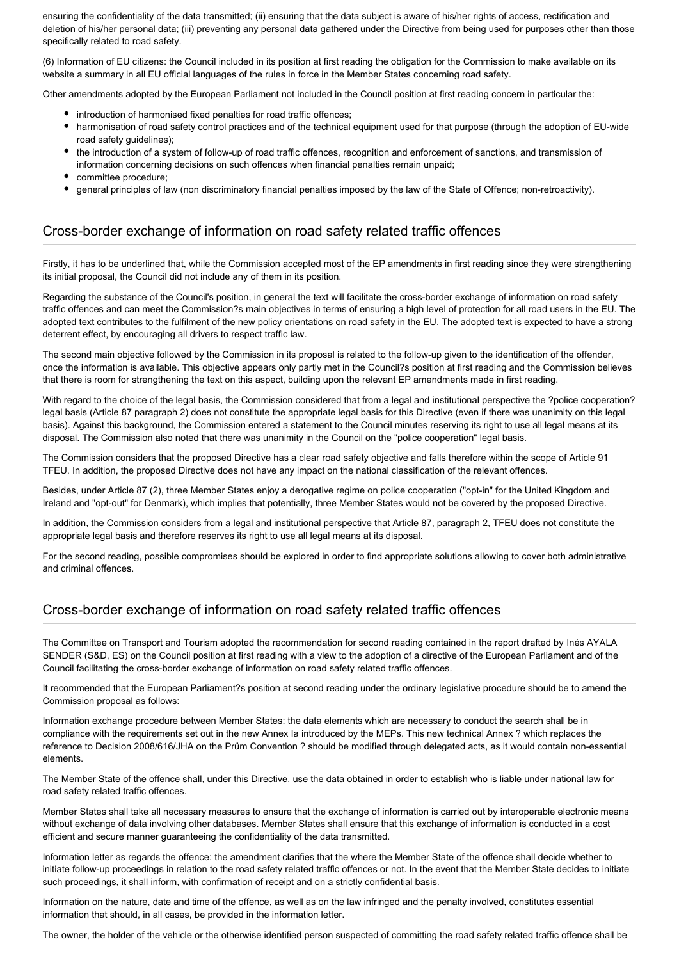ensuring the confidentiality of the data transmitted; (ii) ensuring that the data subject is aware of his/her rights of access, rectification and deletion of his/her personal data; (iii) preventing any personal data gathered under the Directive from being used for purposes other than those specifically related to road safety.

(6) Information of EU citizens: the Council included in its position at first reading the obligation for the Commission to make available on its website a summary in all EU official languages of the rules in force in the Member States concerning road safety.

Other amendments adopted by the European Parliament not included in the Council position at first reading concern in particular the:

- introduction of harmonised fixed penalties for road traffic offences;
- harmonisation of road safety control practices and of the technical equipment used for that purpose (through the adoption of EU-wide road safety guidelines);
- the introduction of a system of follow-up of road traffic offences, recognition and enforcement of sanctions, and transmission of information concerning decisions on such offences when financial penalties remain unpaid;
- committee procedure;
- general principles of law (non discriminatory financial penalties imposed by the law of the State of Offence; non-retroactivity).

#### Cross-border exchange of information on road safety related traffic offences

Firstly, it has to be underlined that, while the Commission accepted most of the EP amendments in first reading since they were strengthening its initial proposal, the Council did not include any of them in its position.

Regarding the substance of the Council's position, in general the text will facilitate the cross-border exchange of information on road safety traffic offences and can meet the Commission?s main objectives in terms of ensuring a high level of protection for all road users in the EU. The adopted text contributes to the fulfilment of the new policy orientations on road safety in the EU. The adopted text is expected to have a strong deterrent effect, by encouraging all drivers to respect traffic law.

The second main objective followed by the Commission in its proposal is related to the follow-up given to the identification of the offender, once the information is available. This objective appears only partly met in the Council?s position at first reading and the Commission believes that there is room for strengthening the text on this aspect, building upon the relevant EP amendments made in first reading.

With regard to the choice of the legal basis, the Commission considered that from a legal and institutional perspective the ?police cooperation? legal basis (Article 87 paragraph 2) does not constitute the appropriate legal basis for this Directive (even if there was unanimity on this legal basis). Against this background, the Commission entered a statement to the Council minutes reserving its right to use all legal means at its disposal. The Commission also noted that there was unanimity in the Council on the "police cooperation" legal basis.

The Commission considers that the proposed Directive has a clear road safety objective and falls therefore within the scope of Article 91 TFEU. In addition, the proposed Directive does not have any impact on the national classification of the relevant offences.

Besides, under Article 87 (2), three Member States enjoy a derogative regime on police cooperation ("opt-in" for the United Kingdom and Ireland and "opt-out" for Denmark), which implies that potentially, three Member States would not be covered by the proposed Directive.

In addition, the Commission considers from a legal and institutional perspective that Article 87, paragraph 2, TFEU does not constitute the appropriate legal basis and therefore reserves its right to use all legal means at its disposal.

For the second reading, possible compromises should be explored in order to find appropriate solutions allowing to cover both administrative and criminal offences.

## Cross-border exchange of information on road safety related traffic offences

The Committee on Transport and Tourism adopted the recommendation for second reading contained in the report drafted by Inés AYALA SENDER (S&D, ES) on the Council position at first reading with a view to the adoption of a directive of the European Parliament and of the Council facilitating the cross-border exchange of information on road safety related traffic offences.

It recommended that the European Parliament?s position at second reading under the ordinary legislative procedure should be to amend the Commission proposal as follows:

Information exchange procedure between Member States: the data elements which are necessary to conduct the search shall be in compliance with the requirements set out in the new Annex Ia introduced by the MEPs. This new technical Annex ? which replaces the reference to Decision 2008/616/JHA on the Prüm Convention ? should be modified through delegated acts, as it would contain non-essential elements.

The Member State of the offence shall, under this Directive, use the data obtained in order to establish who is liable under national law for road safety related traffic offences.

Member States shall take all necessary measures to ensure that the exchange of information is carried out by interoperable electronic means without exchange of data involving other databases. Member States shall ensure that this exchange of information is conducted in a cost efficient and secure manner guaranteeing the confidentiality of the data transmitted.

Information letter as regards the offence: the amendment clarifies that the where the Member State of the offence shall decide whether to initiate follow-up proceedings in relation to the road safety related traffic offences or not. In the event that the Member State decides to initiate such proceedings, it shall inform, with confirmation of receipt and on a strictly confidential basis.

Information on the nature, date and time of the offence, as well as on the law infringed and the penalty involved, constitutes essential information that should, in all cases, be provided in the information letter.

The owner, the holder of the vehicle or the otherwise identified person suspected of committing the road safety related traffic offence shall be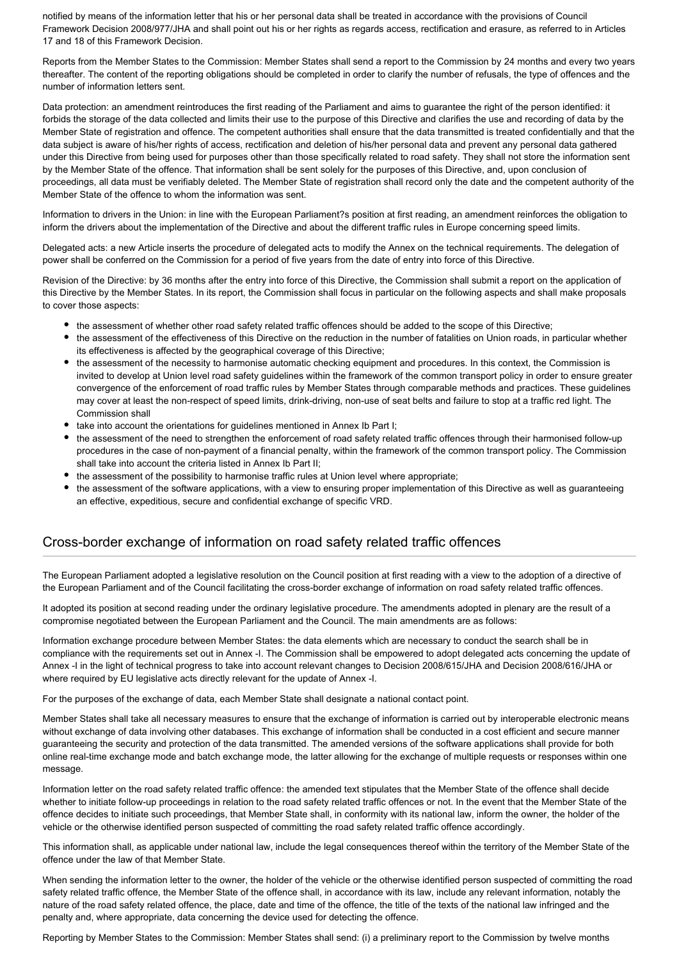notified by means of the information letter that his or her personal data shall be treated in accordance with the provisions of Council Framework Decision 2008/977/JHA and shall point out his or her rights as regards access, rectification and erasure, as referred to in Articles 17 and 18 of this Framework Decision.

Reports from the Member States to the Commission: Member States shall send a report to the Commission by 24 months and every two years thereafter. The content of the reporting obligations should be completed in order to clarify the number of refusals, the type of offences and the number of information letters sent.

Data protection: an amendment reintroduces the first reading of the Parliament and aims to guarantee the right of the person identified: it forbids the storage of the data collected and limits their use to the purpose of this Directive and clarifies the use and recording of data by the Member State of registration and offence. The competent authorities shall ensure that the data transmitted is treated confidentially and that the data subject is aware of his/her rights of access, rectification and deletion of his/her personal data and prevent any personal data gathered under this Directive from being used for purposes other than those specifically related to road safety. They shall not store the information sent by the Member State of the offence. That information shall be sent solely for the purposes of this Directive, and, upon conclusion of proceedings, all data must be verifiably deleted. The Member State of registration shall record only the date and the competent authority of the Member State of the offence to whom the information was sent.

Information to drivers in the Union: in line with the European Parliament?s position at first reading, an amendment reinforces the obligation to inform the drivers about the implementation of the Directive and about the different traffic rules in Europe concerning speed limits.

Delegated acts: a new Article inserts the procedure of delegated acts to modify the Annex on the technical requirements. The delegation of power shall be conferred on the Commission for a period of five years from the date of entry into force of this Directive.

Revision of the Directive: by 36 months after the entry into force of this Directive, the Commission shall submit a report on the application of this Directive by the Member States. In its report, the Commission shall focus in particular on the following aspects and shall make proposals to cover those aspects:

- the assessment of whether other road safety related traffic offences should be added to the scope of this Directive;
- the assessment of the effectiveness of this Directive on the reduction in the number of fatalities on Union roads, in particular whether its effectiveness is affected by the geographical coverage of this Directive;
- the assessment of the necessity to harmonise automatic checking equipment and procedures. In this context, the Commission is invited to develop at Union level road safety guidelines within the framework of the common transport policy in order to ensure greater convergence of the enforcement of road traffic rules by Member States through comparable methods and practices. These guidelines may cover at least the non-respect of speed limits, drink-driving, non-use of seat belts and failure to stop at a traffic red light. The Commission shall
- take into account the orientations for quidelines mentioned in Annex Ib Part I;
- the assessment of the need to strengthen the enforcement of road safety related traffic offences through their harmonised follow-up procedures in the case of non-payment of a financial penalty, within the framework of the common transport policy. The Commission shall take into account the criteria listed in Annex Ib Part II;
- the assessment of the possibility to harmonise traffic rules at Union level where appropriate;
- the assessment of the software applications, with a view to ensuring proper implementation of this Directive as well as guaranteeing an effective, expeditious, secure and confidential exchange of specific VRD.

## Cross-border exchange of information on road safety related traffic offences

The European Parliament adopted a legislative resolution on the Council position at first reading with a view to the adoption of a directive of the European Parliament and of the Council facilitating the cross-border exchange of information on road safety related traffic offences.

It adopted its position at second reading under the ordinary legislative procedure. The amendments adopted in plenary are the result of a compromise negotiated between the European Parliament and the Council. The main amendments are as follows:

Information exchange procedure between Member States: the data elements which are necessary to conduct the search shall be in compliance with the requirements set out in Annex -I. The Commission shall be empowered to adopt delegated acts concerning the update of Annex -I in the light of technical progress to take into account relevant changes to Decision 2008/615/JHA and Decision 2008/616/JHA or where required by EU legislative acts directly relevant for the update of Annex -I.

For the purposes of the exchange of data, each Member State shall designate a national contact point.

Member States shall take all necessary measures to ensure that the exchange of information is carried out by interoperable electronic means without exchange of data involving other databases. This exchange of information shall be conducted in a cost efficient and secure manner guaranteeing the security and protection of the data transmitted. The amended versions of the software applications shall provide for both online real-time exchange mode and batch exchange mode, the latter allowing for the exchange of multiple requests or responses within one message.

Information letter on the road safety related traffic offence: the amended text stipulates that the Member State of the offence shall decide whether to initiate follow-up proceedings in relation to the road safety related traffic offences or not. In the event that the Member State of the offence decides to initiate such proceedings, that Member State shall, in conformity with its national law, inform the owner, the holder of the vehicle or the otherwise identified person suspected of committing the road safety related traffic offence accordingly.

This information shall, as applicable under national law, include the legal consequences thereof within the territory of the Member State of the offence under the law of that Member State.

When sending the information letter to the owner, the holder of the vehicle or the otherwise identified person suspected of committing the road safety related traffic offence, the Member State of the offence shall, in accordance with its law, include any relevant information, notably the nature of the road safety related offence, the place, date and time of the offence, the title of the texts of the national law infringed and the penalty and, where appropriate, data concerning the device used for detecting the offence.

Reporting by Member States to the Commission: Member States shall send: (i) a preliminary report to the Commission by twelve months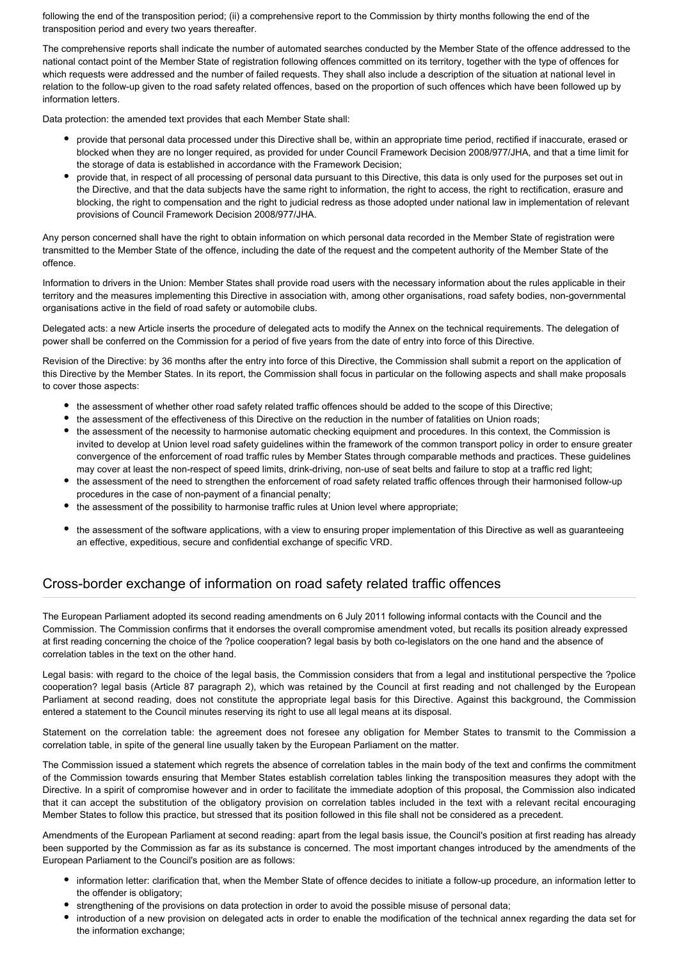following the end of the transposition period; (ii) a comprehensive report to the Commission by thirty months following the end of the transposition period and every two years thereafter.

The comprehensive reports shall indicate the number of automated searches conducted by the Member State of the offence addressed to the national contact point of the Member State of registration following offences committed on its territory, together with the type of offences for which requests were addressed and the number of failed requests. They shall also include a description of the situation at national level in relation to the follow-up given to the road safety related offences, based on the proportion of such offences which have been followed up by information letters.

Data protection: the amended text provides that each Member State shall:

- provide that personal data processed under this Directive shall be, within an appropriate time period, rectified if inaccurate, erased or blocked when they are no longer required, as provided for under Council Framework Decision 2008/977/JHA, and that a time limit for the storage of data is established in accordance with the Framework Decision;
- provide that, in respect of all processing of personal data pursuant to this Directive, this data is only used for the purposes set out in the Directive, and that the data subjects have the same right to information, the right to access, the right to rectification, erasure and blocking, the right to compensation and the right to judicial redress as those adopted under national law in implementation of relevant provisions of Council Framework Decision 2008/977/JHA.

Any person concerned shall have the right to obtain information on which personal data recorded in the Member State of registration were transmitted to the Member State of the offence, including the date of the request and the competent authority of the Member State of the offence.

Information to drivers in the Union: Member States shall provide road users with the necessary information about the rules applicable in their territory and the measures implementing this Directive in association with, among other organisations, road safety bodies, non-governmental organisations active in the field of road safety or automobile clubs.

Delegated acts: a new Article inserts the procedure of delegated acts to modify the Annex on the technical requirements. The delegation of power shall be conferred on the Commission for a period of five years from the date of entry into force of this Directive.

Revision of the Directive: by 36 months after the entry into force of this Directive, the Commission shall submit a report on the application of this Directive by the Member States. In its report, the Commission shall focus in particular on the following aspects and shall make proposals to cover those aspects:

- the assessment of whether other road safety related traffic offences should be added to the scope of this Directive;
- the assessment of the effectiveness of this Directive on the reduction in the number of fatalities on Union roads;
- the assessment of the necessity to harmonise automatic checking equipment and procedures. In this context, the Commission is invited to develop at Union level road safety guidelines within the framework of the common transport policy in order to ensure greater convergence of the enforcement of road traffic rules by Member States through comparable methods and practices. These guidelines may cover at least the non-respect of speed limits, drink-driving, non-use of seat belts and failure to stop at a traffic red light;
- the assessment of the need to strengthen the enforcement of road safety related traffic offences through their harmonised follow-up procedures in the case of non-payment of a financial penalty;
- the assessment of the possibility to harmonise traffic rules at Union level where appropriate;
- the assessment of the software applications, with a view to ensuring proper implementation of this Directive as well as guaranteeing an effective, expeditious, secure and confidential exchange of specific VRD.

## Cross-border exchange of information on road safety related traffic offences

The European Parliament adopted its second reading amendments on 6 July 2011 following informal contacts with the Council and the Commission. The Commission confirms that it endorses the overall compromise amendment voted, but recalls its position already expressed at first reading concerning the choice of the ?police cooperation? legal basis by both co-legislators on the one hand and the absence of correlation tables in the text on the other hand.

Legal basis: with regard to the choice of the legal basis, the Commission considers that from a legal and institutional perspective the ?police cooperation? legal basis (Article 87 paragraph 2), which was retained by the Council at first reading and not challenged by the European Parliament at second reading, does not constitute the appropriate legal basis for this Directive. Against this background, the Commission entered a statement to the Council minutes reserving its right to use all legal means at its disposal.

Statement on the correlation table: the agreement does not foresee any obligation for Member States to transmit to the Commission a correlation table, in spite of the general line usually taken by the European Parliament on the matter.

The Commission issued a statement which regrets the absence of correlation tables in the main body of the text and confirms the commitment of the Commission towards ensuring that Member States establish correlation tables linking the transposition measures they adopt with the Directive. In a spirit of compromise however and in order to facilitate the immediate adoption of this proposal, the Commission also indicated that it can accept the substitution of the obligatory provision on correlation tables included in the text with a relevant recital encouraging Member States to follow this practice, but stressed that its position followed in this file shall not be considered as a precedent.

Amendments of the European Parliament at second reading: apart from the legal basis issue, the Council's position at first reading has already been supported by the Commission as far as its substance is concerned. The most important changes introduced by the amendments of the European Parliament to the Council's position are as follows:

- information letter: clarification that, when the Member State of offence decides to initiate a follow-up procedure, an information letter to the offender is obligatory;
- strengthening of the provisions on data protection in order to avoid the possible misuse of personal data;
- introduction of a new provision on delegated acts in order to enable the modification of the technical annex regarding the data set for the information exchange;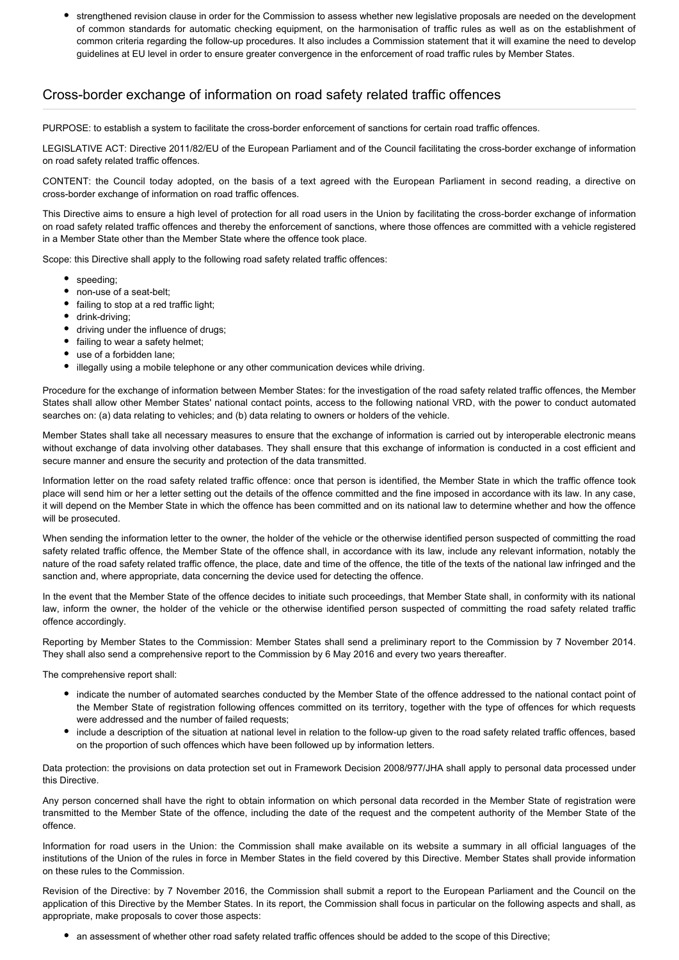strengthened revision clause in order for the Commission to assess whether new legislative proposals are needed on the development of common standards for automatic checking equipment, on the harmonisation of traffic rules as well as on the establishment of common criteria regarding the follow-up procedures. It also includes a Commission statement that it will examine the need to develop guidelines at EU level in order to ensure greater convergence in the enforcement of road traffic rules by Member States.

#### Cross-border exchange of information on road safety related traffic offences

PURPOSE: to establish a system to facilitate the cross-border enforcement of sanctions for certain road traffic offences.

LEGISLATIVE ACT: Directive 2011/82/EU of the European Parliament and of the Council facilitating the cross-border exchange of information on road safety related traffic offences.

CONTENT: the Council today adopted, on the basis of a text agreed with the European Parliament in second reading, a directive on cross-border exchange of information on road traffic offences.

This Directive aims to ensure a high level of protection for all road users in the Union by facilitating the cross-border exchange of information on road safety related traffic offences and thereby the enforcement of sanctions, where those offences are committed with a vehicle registered in a Member State other than the Member State where the offence took place.

Scope: this Directive shall apply to the following road safety related traffic offences:

- speeding;
- non-use of a seat-belt;
- failing to stop at a red traffic light;
- drink-driving;
- driving under the influence of drugs;
- failing to wear a safety helmet;
- use of a forbidden lane;
- $\bullet$ illegally using a mobile telephone or any other communication devices while driving.

Procedure for the exchange of information between Member States: for the investigation of the road safety related traffic offences, the Member States shall allow other Member States' national contact points, access to the following national VRD, with the power to conduct automated searches on: (a) data relating to vehicles; and (b) data relating to owners or holders of the vehicle.

Member States shall take all necessary measures to ensure that the exchange of information is carried out by interoperable electronic means without exchange of data involving other databases. They shall ensure that this exchange of information is conducted in a cost efficient and secure manner and ensure the security and protection of the data transmitted.

Information letter on the road safety related traffic offence: once that person is identified, the Member State in which the traffic offence took place will send him or her a letter setting out the details of the offence committed and the fine imposed in accordance with its law. In any case, it will depend on the Member State in which the offence has been committed and on its national law to determine whether and how the offence will be prosecuted.

When sending the information letter to the owner, the holder of the vehicle or the otherwise identified person suspected of committing the road safety related traffic offence, the Member State of the offence shall, in accordance with its law, include any relevant information, notably the nature of the road safety related traffic offence, the place, date and time of the offence, the title of the texts of the national law infringed and the sanction and, where appropriate, data concerning the device used for detecting the offence.

In the event that the Member State of the offence decides to initiate such proceedings, that Member State shall, in conformity with its national law, inform the owner, the holder of the vehicle or the otherwise identified person suspected of committing the road safety related traffic offence accordingly.

Reporting by Member States to the Commission: Member States shall send a preliminary report to the Commission by 7 November 2014. They shall also send a comprehensive report to the Commission by 6 May 2016 and every two years thereafter.

The comprehensive report shall:

- indicate the number of automated searches conducted by the Member State of the offence addressed to the national contact point of the Member State of registration following offences committed on its territory, together with the type of offences for which requests were addressed and the number of failed requests;
- include a description of the situation at national level in relation to the follow-up given to the road safety related traffic offences, based on the proportion of such offences which have been followed up by information letters.

Data protection: the provisions on data protection set out in Framework Decision 2008/977/JHA shall apply to personal data processed under this Directive.

Any person concerned shall have the right to obtain information on which personal data recorded in the Member State of registration were transmitted to the Member State of the offence, including the date of the request and the competent authority of the Member State of the offence.

Information for road users in the Union: the Commission shall make available on its website a summary in all official languages of the institutions of the Union of the rules in force in Member States in the field covered by this Directive. Member States shall provide information on these rules to the Commission.

Revision of the Directive: by 7 November 2016, the Commission shall submit a report to the European Parliament and the Council on the application of this Directive by the Member States. In its report, the Commission shall focus in particular on the following aspects and shall, as appropriate, make proposals to cover those aspects:

an assessment of whether other road safety related traffic offences should be added to the scope of this Directive;